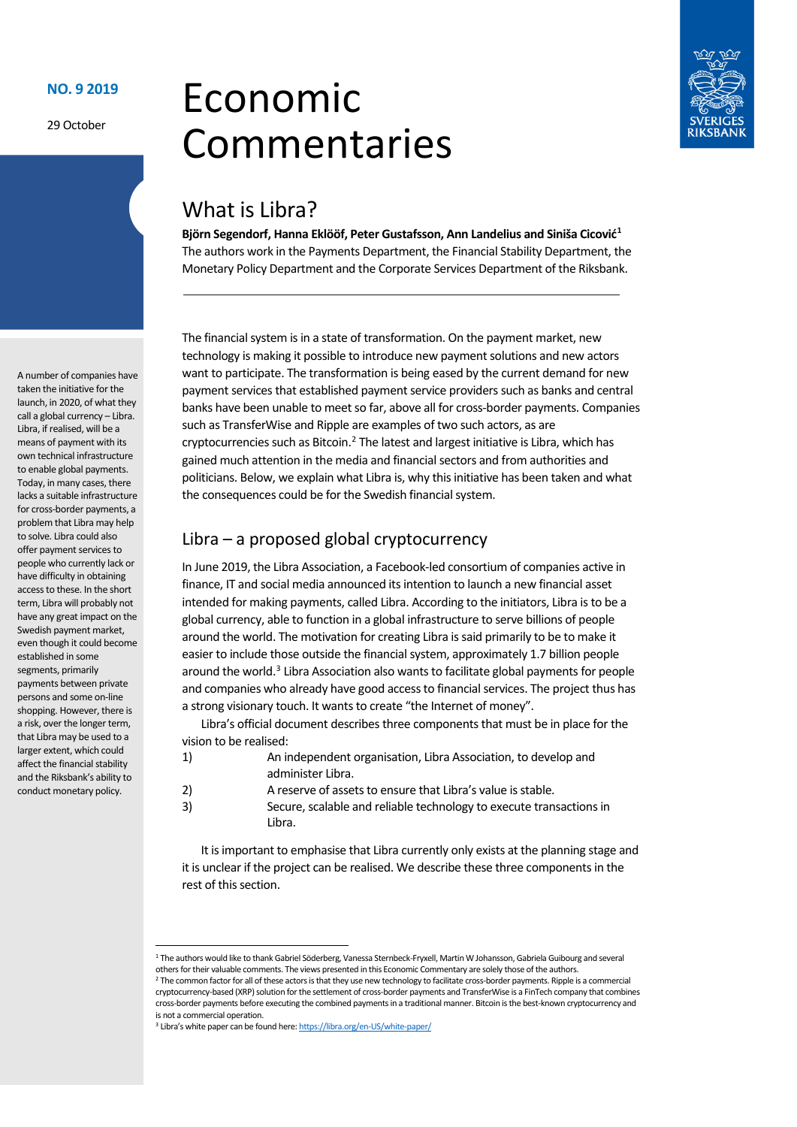### **NO. 9 2019**

29 October

# Economic Commentaries



# What is Libra?

**Björn Segendorf, Hanna Eklööf, Peter Gustafsson, Ann Landelius and Siniša Cicović[1](#page-0-0)** The authors work in the Payments Department, the Financial Stability Department, the Monetary Policy Department and the Corporate Services Department of the Riksbank.

The financial system is in a state of transformation. On the payment market, new technology is making it possible to introduce new payment solutions and new actors want to participate. The transformation is being eased by the current demand for new payment services that established payment service providers such as banks and central banks have been unable to meet so far, above all for cross-border payments. Companies such as TransferWise and Ripple are examples of two such actors, as are cryptocurrencies such as Bitcoin.[2](#page-0-1) The latest and largest initiative is Libra, which has gained much attention in the media and financial sectors and from authorities and politicians. Below, we explain what Libra is, why this initiative has been taken and what the consequences could be for the Swedish financial system.

## Libra – a proposed global cryptocurrency

In June 2019, the Libra Association, a Facebook-led consortium of companies active in finance, IT and social media announced its intention to launch a new financial asset intended for making payments, called Libra. According to the initiators, Libra is to be a global currency, able to function in a global infrastructure to serve billions of people around the world. The motivation for creating Libra is said primarily to be to make it easier to include those outside the financial system, approximately 1.7 billion people around the world.[3](#page-0-2) Libra Association also wants to facilitate global payments for people and companies who already have good access to financial services. The project thus has a strong visionary touch. It wants to create "the Internet of money".

Libra's official document describes three components that must be in place for the vision to be realised:

- 1) An independent organisation, Libra Association, to develop and administer Libra.
- 2) A reserve of assets to ensure that Libra's value is stable.
- 3) Secure, scalable and reliable technology to execute transactions in Libra.

It is important to emphasise that Libra currently only exists at the planning stage and it is unclear if the project can be realised. We describe these three components in the rest of this section.

A number of companies have taken the initiative for the launch, in 2020, of what they call a global currency – Libra. Libra, if realised, will be a means of payment with its own technical infrastructure to enable global payments. Today, in many cases, there lacks a suitable infrastructure for cross-border payments, a problem that Libra may help to solve. Libra could also offer payment services to people who currently lack or have difficulty in obtaining access to these. In the short term, Libra will probably not have any great impact on the Swedish payment market, even though it could become established in some segments, primarily payments between private persons and some on-line shopping. However, there is a risk, over the longer term, that Libra may be used to a larger extent, which could affect the financial stability and the Riksbank's ability to conduct monetary policy.

<span id="page-0-0"></span> <sup>1</sup> The authors would like to thank Gabriel Söderberg, Vanessa Sternbeck-Fryxell, Martin W Johansson, Gabriela Guibourg and several others for their valuable comments. The views presented in this Economic Commentary are solely those of the authors.

<span id="page-0-1"></span><sup>&</sup>lt;sup>2</sup> The common factor for all of these actors is that they use new technology to facilitate cross-border payments. Ripple is a commercial cryptocurrency-based (XRP) solution for the settlement of cross-border payments and TransferWise is a FinTech company that combines cross-border payments before executing the combined payments in a traditional manner. Bitcoin is the best-known cryptocurrency and is not a commercial operation.

<span id="page-0-2"></span><sup>3</sup> Libra's white paper can be found here[: https://libra.org/en-US/white-paper/](https://libra.org/en-US/white-paper/)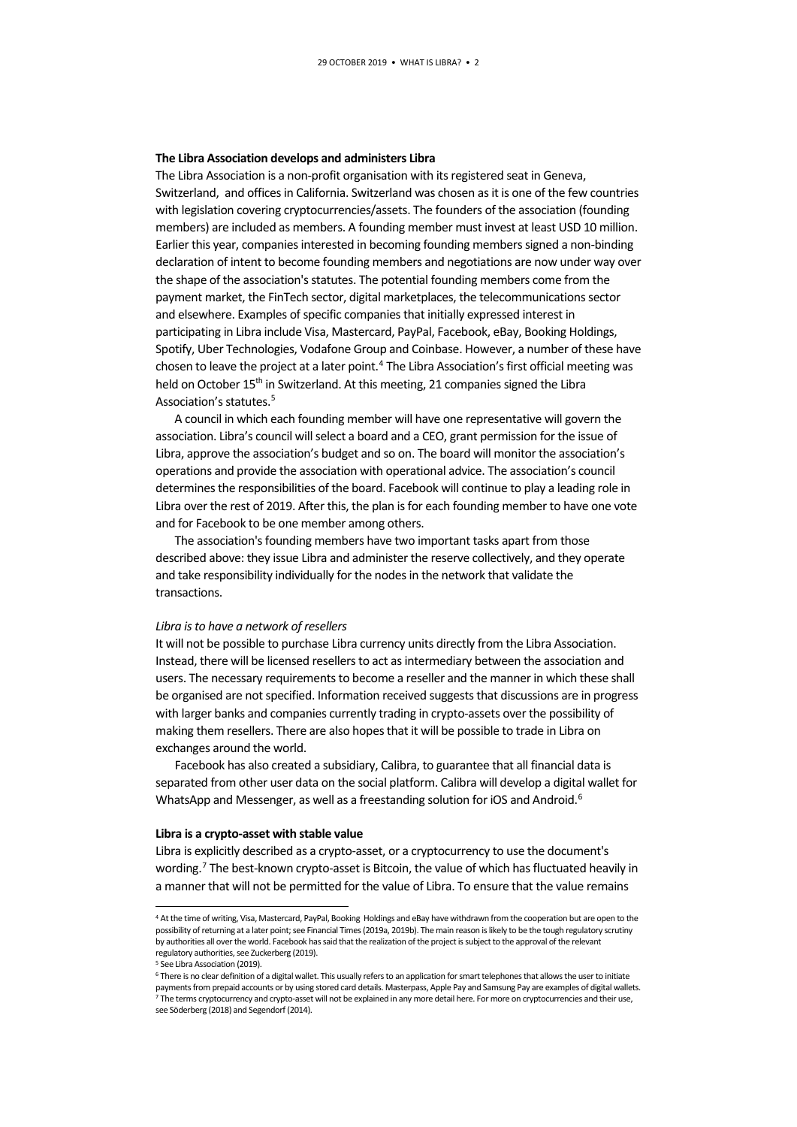#### **The Libra Association develops and administers Libra**

The Libra Association is a non-profit organisation with its registered seat in Geneva, Switzerland, and offices in California. Switzerland was chosen as it is one of the few countries with legislation covering cryptocurrencies/assets. The founders of the association (founding members) are included as members. A founding member must invest at least USD 10 million. Earlier this year, companies interested in becoming founding members signed a non-binding declaration of intent to become founding members and negotiations are now under way over the shape of the association's statutes. The potential founding members come from the payment market, the FinTech sector, digital marketplaces, the telecommunications sector and elsewhere. Examples of specific companies that initially expressed interest in participating in Libra include Visa, Mastercard, PayPal, Facebook, eBay, Booking Holdings, Spotify, Uber Technologies, Vodafone Group and Coinbase. However, a number of these have chosen to leave the project at a later point.<sup>4</sup> The Libra Association's first official meeting was held on October 15<sup>th</sup> in Switzerland. At this meeting, 21 companies signed the Libra Association's statutes.[5](#page-1-1)

A council in which each founding member will have one representative will govern the association. Libra's council will select a board and a CEO, grant permission for the issue of Libra, approve the association's budget and so on. The board will monitor the association's operations and provide the association with operational advice. The association's council determines the responsibilities of the board. Facebook will continue to play a leading role in Libra over the rest of 2019. After this, the plan is for each founding member to have one vote and for Facebook to be one member among others.

The association's founding members have two important tasks apart from those described above: they issue Libra and administer the reserve collectively, and they operate and take responsibility individually for the nodes in the network that validate the transactions.

#### *Libra is to have a network of resellers*

It will not be possible to purchase Libra currency units directly from the Libra Association. Instead, there will be licensed resellers to act as intermediary between the association and users. The necessary requirements to become a reseller and the manner in which these shall be organised are not specified. Information received suggests that discussions are in progress with larger banks and companies currently trading in crypto-assets over the possibility of making them resellers. There are also hopes that it will be possible to trade in Libra on exchanges around the world.

Facebook has also created a subsidiary, Calibra, to guarantee that all financial data is separated from other user data on the social platform. Calibra will develop a digital wallet for WhatsApp and Messenger, as well as a freestanding solution for iOS and Android.<sup>[6](#page-1-2)</sup>

#### **Libra is a crypto-asset with stable value**

Libra is explicitly described as a crypto-asset, or a cryptocurrency to use the document's wording.<sup>[7](#page-1-3)</sup> The best-known crypto-asset is Bitcoin, the value of which has fluctuated heavily in a manner that will not be permitted for the value of Libra. To ensure that the value remains

<span id="page-1-0"></span> <sup>4</sup> At the time of writing, Visa, Mastercard, PayPal, Booking Holdings and eBay have withdrawn from the cooperation but are open to the possibility of returning at a later point; see Financial Times (2019a, 2019b). The main reason is likely to be the tough regulatory scrutiny by authorities all over the world. Facebook has said that the realization of the project is subject to the approval of the relevant regulatory authorities, see Zuckerberg (2019).

<sup>&</sup>lt;sup>5</sup> See Libra Association (2019).

<span id="page-1-3"></span><span id="page-1-2"></span><span id="page-1-1"></span><sup>&</sup>lt;sup>6</sup> There is no clear definition of a digital wallet. This usually refers to an application for smart telephones that allows the user to initiate payments from prepaid accounts or by using stored card details. Masterpass, Apple Pay and Samsung Pay are examples of digital wallets.  $<sup>7</sup>$  The terms cryptocurrency and crypto-asset will not be explained in any more detail here. For more on cryptocurrencies and their use,</sup> see Söderberg (2018) and Segendorf (2014).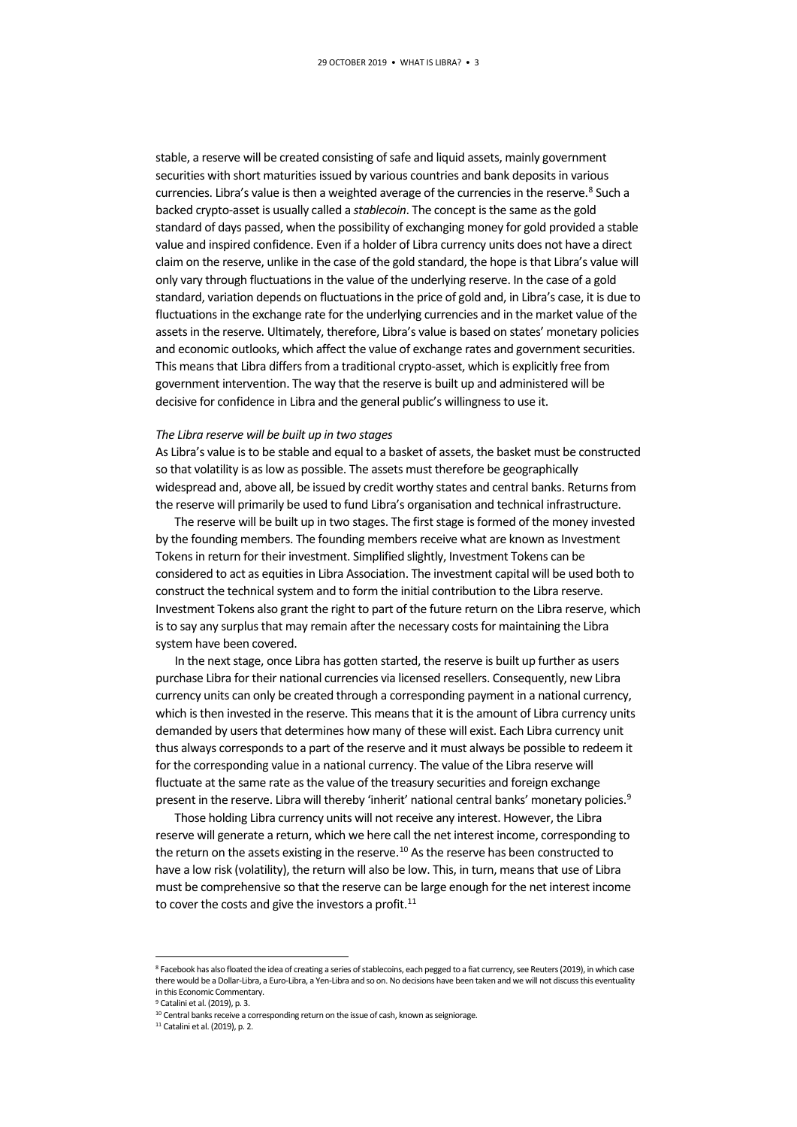stable, a reserve will be created consisting of safe and liquid assets, mainly government securities with short maturities issued by various countries and bank deposits in various currencies. Libra's value is then a weighted average of the currencies in the reserve.<sup>[8](#page-2-0)</sup> Such a backed crypto-asset is usually called a *stablecoin*. The concept is the same as the gold standard of days passed, when the possibility of exchanging money for gold provided a stable value and inspired confidence. Even if a holder of Libra currency units does not have a direct claim on the reserve, unlike in the case of the gold standard, the hope is that Libra's value will only vary through fluctuations in the value of the underlying reserve. In the case of a gold standard, variation depends on fluctuations in the price of gold and, in Libra's case, it is due to fluctuations in the exchange rate for the underlying currencies and in the market value of the assets in the reserve. Ultimately, therefore, Libra's value is based on states' monetary policies and economic outlooks, which affect the value of exchange rates and government securities. This means that Libra differs from a traditional crypto-asset, which is explicitly free from government intervention. The way that the reserve is built up and administered will be decisive for confidence in Libra and the general public's willingness to use it.

#### *The Libra reserve will be built up in two stages*

As Libra's value is to be stable and equal to a basket of assets, the basket must be constructed so that volatility is as low as possible. The assets must therefore be geographically widespread and, above all, be issued by credit worthy states and central banks. Returns from the reserve will primarily be used to fund Libra's organisation and technical infrastructure.

The reserve will be built up in two stages. The first stage is formed of the money invested by the founding members. The founding members receive what are known as Investment Tokens in return for their investment. Simplified slightly, Investment Tokens can be considered to act as equities in Libra Association. The investment capital will be used both to construct the technical system and to form the initial contribution to the Libra reserve. Investment Tokens also grant the right to part of the future return on the Libra reserve, which is to say any surplus that may remain after the necessary costs for maintaining the Libra system have been covered.

In the next stage, once Libra has gotten started, the reserve is built up further as users purchase Libra for their national currencies via licensed resellers. Consequently, new Libra currency units can only be created through a corresponding payment in a national currency, which is then invested in the reserve. This means that it is the amount of Libra currency units demanded by users that determines how many of these will exist. Each Libra currency unit thus always corresponds to a part of the reserve and it must always be possible to redeem it for the corresponding value in a national currency. The value of the Libra reserve will fluctuate at the same rate as the value of the treasury securities and foreign exchange present in the reserve. Libra will thereby 'inherit' national central banks' monetary policies.<sup>[9](#page-2-1)</sup>

Those holding Libra currency units will not receive any interest. However, the Libra reserve will generate a return, which we here call the net interest income, corresponding to the return on the assets existing in the reserve.<sup>10</sup> As the reserve has been constructed to have a low risk (volatility), the return will also be low. This, in turn, means that use of Libra must be comprehensive so that the reserve can be large enough for the net interest income to cover the costs and give the investors a profit.<sup>[11](#page-2-3)</sup>

<span id="page-2-0"></span><sup>8</sup> Facebook has also floated the idea of creating a series of stablecoins, each pegged to a fiat currency, see Reuters (2019), in which case there would be a Dollar-Libra, a Euro-Libra, a Yen-Libra and so on. No decisions have been taken and we will not discuss this eventuality in this Economic Commentary.

<span id="page-2-2"></span><span id="page-2-1"></span><sup>9</sup> Catalini et al. (2019), p. 3.

<sup>&</sup>lt;sup>10</sup> Central banks receive a corresponding return on the issue of cash, known as seigniorage.

<span id="page-2-3"></span><sup>11</sup> Catalini et al. (2019), p. 2.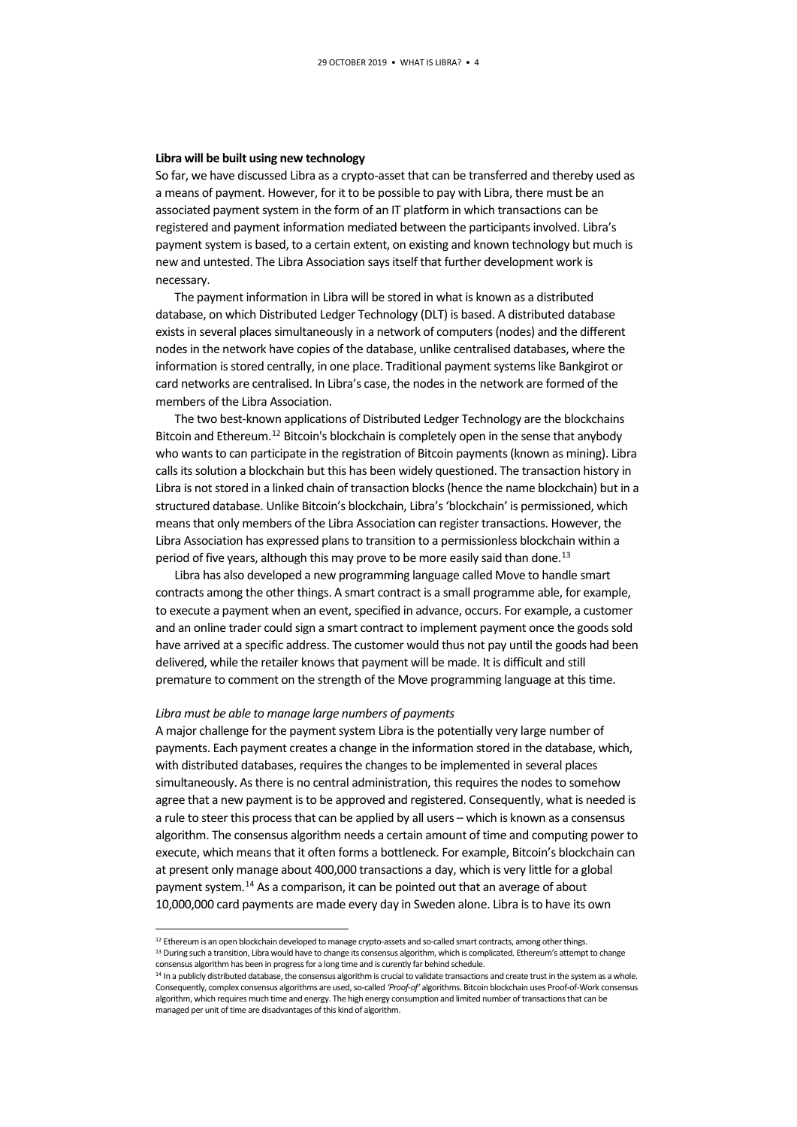#### **Libra will be built using new technology**

So far, we have discussed Libra as a crypto-asset that can be transferred and thereby used as a means of payment. However, for it to be possible to pay with Libra, there must be an associated payment system in the form of an IT platform in which transactions can be registered and payment information mediated between the participants involved. Libra's payment system is based, to a certain extent, on existing and known technology but much is new and untested. The Libra Association says itself that further development work is necessary.

The payment information in Libra will be stored in what is known as a distributed database, on which Distributed Ledger Technology (DLT) is based. A distributed database exists in several places simultaneously in a network of computers (nodes) and the different nodes in the network have copies of the database, unlike centralised databases, where the information is stored centrally, in one place. Traditional payment systems like Bankgirot or card networks are centralised. In Libra's case, the nodes in the network are formed of the members of the Libra Association.

The two best-known applications of Distributed Ledger Technology are the blockchains Bitcoin and Ethereum.<sup>[12](#page-3-0)</sup> Bitcoin's blockchain is completely open in the sense that anybody who wants to can participate in the registration of Bitcoin payments (known as mining). Libra calls its solution a blockchain but this has been widely questioned. The transaction history in Libra is not stored in a linked chain of transaction blocks (hence the name blockchain) but in a structured database. Unlike Bitcoin's blockchain, Libra's 'blockchain' is permissioned, which means that only members of the Libra Association can register transactions. However, the Libra Association has expressed plans to transition to a permissionless blockchain within a period of five years, although this may prove to be more easily said than done.<sup>[13](#page-3-1)</sup>

Libra has also developed a new programming language called Move to handle smart contracts among the other things. A smart contract is a small programme able, for example, to execute a payment when an event, specified in advance, occurs. For example, a customer and an online trader could sign a smart contract to implement payment once the goods sold have arrived at a specific address. The customer would thus not pay until the goods had been delivered, while the retailer knows that payment will be made. It is difficult and still premature to comment on the strength of the Move programming language at this time.

#### *Libra must be able to manage large numbers of payments*

A major challenge for the payment system Libra is the potentially very large number of payments. Each payment creates a change in the information stored in the database, which, with distributed databases, requires the changes to be implemented in several places simultaneously. As there is no central administration, this requires the nodes to somehow agree that a new payment is to be approved and registered. Consequently, what is needed is a rule to steer this process that can be applied by all users – which is known as a consensus algorithm. The consensus algorithm needs a certain amount of time and computing power to execute, which means that it often forms a bottleneck. For example, Bitcoin's blockchain can at present only manage about 400,000 transactions a day, which is very little for a global payment system.<sup>14</sup> As a comparison, it can be pointed out that an average of about 10,000,000 card payments are made every day in Sweden alone. Libra is to have its own

<span id="page-3-1"></span><span id="page-3-0"></span> $^{12}$  Ethereum is an open blockchain developed to manage crypto-assets and so-called smart contracts, among other things.<br><sup>13</sup> During such a transition, Libra would have to change its consensus algorithm, which is compli consensus algorithm has been in progress for a long time and is curently far behind schedule.

<span id="page-3-2"></span><sup>14</sup> In a publicly distributed database, the consensus algorithm is crucial to validate transactions and create trust in the system as a whole. Consequently, complex consensus algorithms are used, so-called *'Proof-of'* algorithms. Bitcoin blockchain uses Proof-of-Work consensus algorithm, which requires much time and energy. The high energy consumption and limited number of transactions that can be managed per unit of time are disadvantages of this kind of algorithm.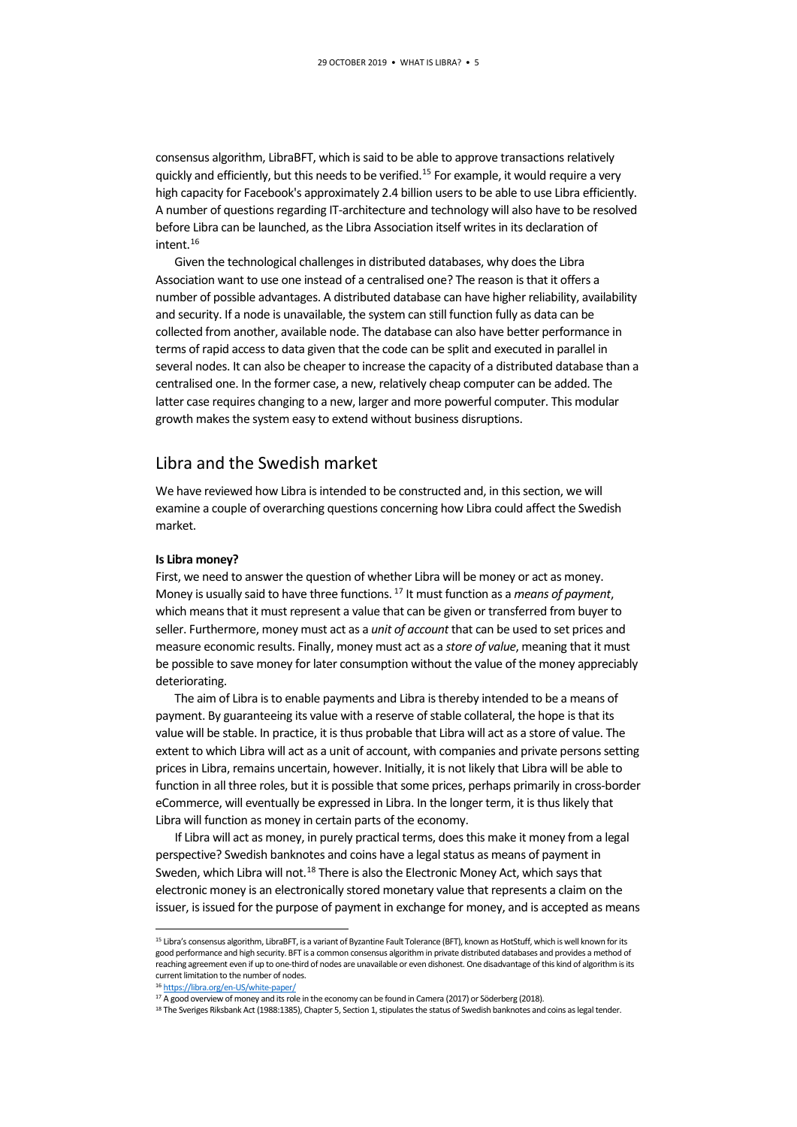consensus algorithm, LibraBFT, which is said to be able to approve transactions relatively quickly and efficiently, but this needs to be verified.<sup>[15](#page-4-0)</sup> For example, it would require a very high capacity for Facebook's approximately 2.4 billion users to be able to use Libra efficiently. A number of questions regarding IT-architecture and technology will also have to be resolved before Libra can be launched, as the Libra Association itself writes in its declaration of intent[.16](#page-4-1)

Given the technological challenges in distributed databases, why does the Libra Association want to use one instead of a centralised one? The reason is that it offers a number of possible advantages. A distributed database can have higher reliability, availability and security. If a node is unavailable, the system can still function fully as data can be collected from another, available node. The database can also have better performance in terms of rapid access to data given that the code can be split and executed in parallel in several nodes. It can also be cheaper to increase the capacity of a distributed database than a centralised one. In the former case, a new, relatively cheap computer can be added. The latter case requires changing to a new, larger and more powerful computer. This modular growth makes the system easy to extend without business disruptions.

## Libra and the Swedish market

We have reviewed how Libra is intended to be constructed and, in this section, we will examine a couple of overarching questions concerning how Libra could affect the Swedish market.

#### **Is Libra money?**

First, we need to answer the question of whether Libra will be money or act as money. Money is usually said to have three functions. [17](#page-4-2) It must function as a *means of payment*, which means that it must represent a value that can be given or transferred from buyer to seller. Furthermore, money must act as a *unit of account* that can be used to set prices and measure economic results. Finally, money must act as a *store of value*, meaning that it must be possible to save money for later consumption without the value of the money appreciably deteriorating.

The aim of Libra is to enable payments and Libra is thereby intended to be a means of payment. By guaranteeing its value with a reserve of stable collateral, the hope is that its value will be stable. In practice, it is thus probable that Libra will act as a store of value. The extent to which Libra will act as a unit of account, with companies and private persons setting prices in Libra, remains uncertain, however. Initially, it is not likely that Libra will be able to function in all three roles, but it is possible that some prices, perhaps primarily in cross-border eCommerce, will eventually be expressed in Libra. In the longer term, it is thus likely that Libra will function as money in certain parts of the economy.

If Libra will act as money, in purely practical terms, does this make it money from a legal perspective? Swedish banknotes and coins have a legal status as means of payment in Sweden, which Libra will not.<sup>18</sup> There is also the Electronic Money Act, which says that electronic money is an electronically stored monetary value that represents a claim on the issuer, is issued for the purpose of payment in exchange for money, and is accepted as means

<span id="page-4-0"></span> <sup>15</sup> Libra's consensus algorithm, LibraBFT, is a variant of Byzantine Fault Tolerance (BFT), known as HotStuff, which is well known for its good performance and high security. BFT is a common consensus algorithm in private distributed databases and provides a method of reaching agreement even if up to one-third of nodes are unavailable or even dishonest. One disadvantage of this kind of algorithm is its current limitation to the number of nodes.

<span id="page-4-2"></span><span id="page-4-1"></span><sup>&</sup>lt;sup>16</sup> <https://libra.org/en-US/white-paper/><br><sup>17</sup> A good overview of money and its role in the economy can be found in Camera (2017) or Söderberg (2018).

<span id="page-4-3"></span><sup>&</sup>lt;sup>18</sup> The Sveriges Riksbank Act (1988:1385), Chapter 5, Section 1, stipulates the status of Swedish banknotes and coins as legal tender.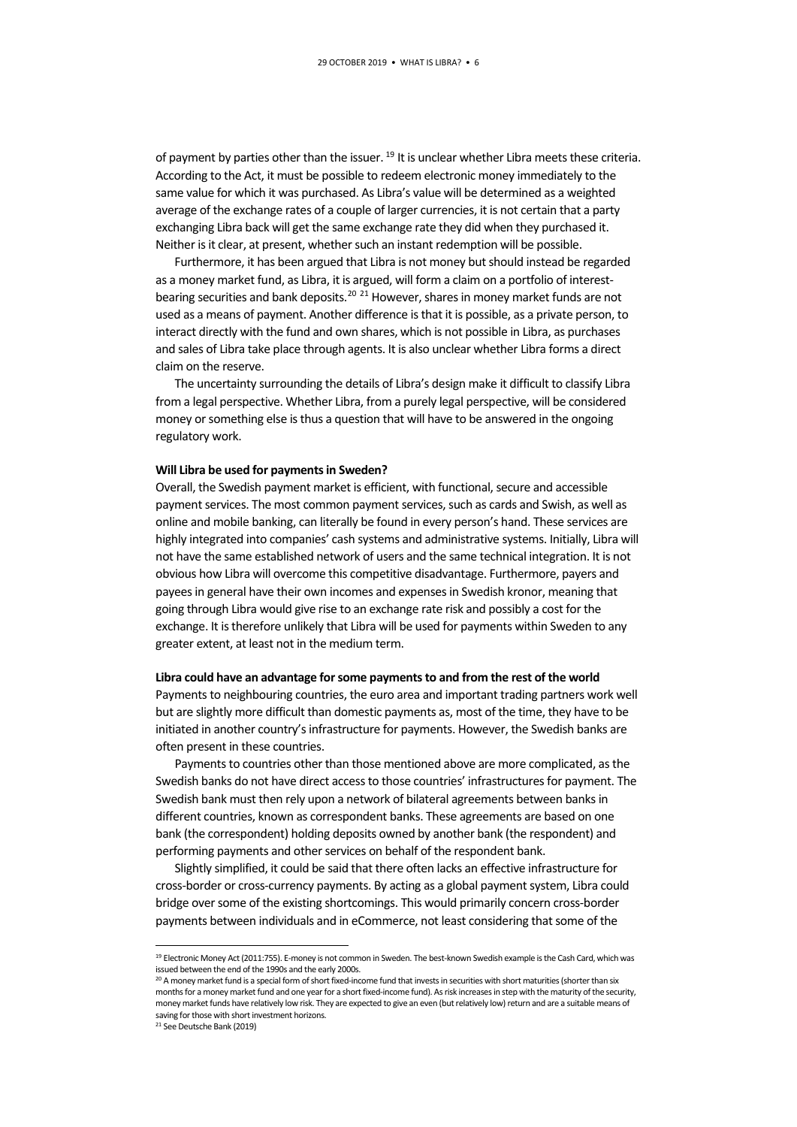of payment by parties other than the issuer. <sup>[19](#page-5-0)</sup> It is unclear whether Libra meets these criteria. According to the Act, it must be possible to redeem electronic money immediately to the same value for which it was purchased. As Libra's value will be determined as a weighted average of the exchange rates of a couple of larger currencies, it is not certain that a party exchanging Libra back will get the same exchange rate they did when they purchased it. Neither is it clear, at present, whether such an instant redemption will be possible.

Furthermore, it has been argued that Libra is not money but should instead be regarded as a money market fund, as Libra, it is argued, will form a claim on a portfolio of interest-bearing securities and bank deposits.<sup>[20](#page-5-1) [21](#page-5-2)</sup> However, shares in money market funds are not used as a means of payment. Another difference is that it is possible, as a private person, to interact directly with the fund and own shares, which is not possible in Libra, as purchases and sales of Libra take place through agents. It is also unclear whether Libra forms a direct claim on the reserve.

The uncertainty surrounding the details of Libra's design make it difficult to classify Libra from a legal perspective. Whether Libra, from a purely legal perspective, will be considered money or something else is thus a question that will have to be answered in the ongoing regulatory work.

#### **Will Libra be used for payments in Sweden?**

Overall, the Swedish payment market is efficient, with functional, secure and accessible payment services. The most common payment services, such as cards and Swish, as well as online and mobile banking, can literally be found in every person's hand. These services are highly integrated into companies' cash systems and administrative systems. Initially, Libra will not have the same established network of users and the same technical integration. It is not obvious how Libra will overcome this competitive disadvantage. Furthermore, payers and payees in general have their own incomes and expenses in Swedish kronor, meaning that going through Libra would give rise to an exchange rate risk and possibly a cost for the exchange. It is therefore unlikely that Libra will be used for payments within Sweden to any greater extent, at least not in the medium term.

#### **Libra could have an advantage for some payments to and from the rest of the world**

Payments to neighbouring countries, the euro area and important trading partners work well but are slightly more difficult than domestic payments as, most of the time, they have to be initiated in another country's infrastructure for payments. However, the Swedish banks are often present in these countries.

Payments to countries other than those mentioned above are more complicated, as the Swedish banks do not have direct access to those countries' infrastructures for payment. The Swedish bank must then rely upon a network of bilateral agreements between banks in different countries, known as correspondent banks. These agreements are based on one bank (the correspondent) holding deposits owned by another bank (the respondent) and performing payments and other services on behalf of the respondent bank.

Slightly simplified, it could be said that there often lacks an effective infrastructure for cross-border or cross-currency payments. By acting as a global payment system, Libra could bridge over some of the existing shortcomings. This would primarily concern cross-border payments between individuals and in eCommerce, not least considering that some of the

<span id="page-5-0"></span> <sup>19</sup> Electronic Money Act (2011:755). E-money is not common in Sweden. The best-known Swedish example is the Cash Card, which was issued between the end of the 1990s and the early 2000s.

<span id="page-5-1"></span><sup>&</sup>lt;sup>20</sup> A money market fund is a special form of short fixed-income fund that invests in securities with short maturities (shorter than six months for a money market fund and one year for a short fixed-income fund). As risk increases in step with the maturity of the security, money market funds have relatively low risk. They are expected to give an even (but relatively low) return and are a suitable means of saving for those with short investment horizons.

<span id="page-5-2"></span><sup>21</sup> See Deutsche Bank (2019)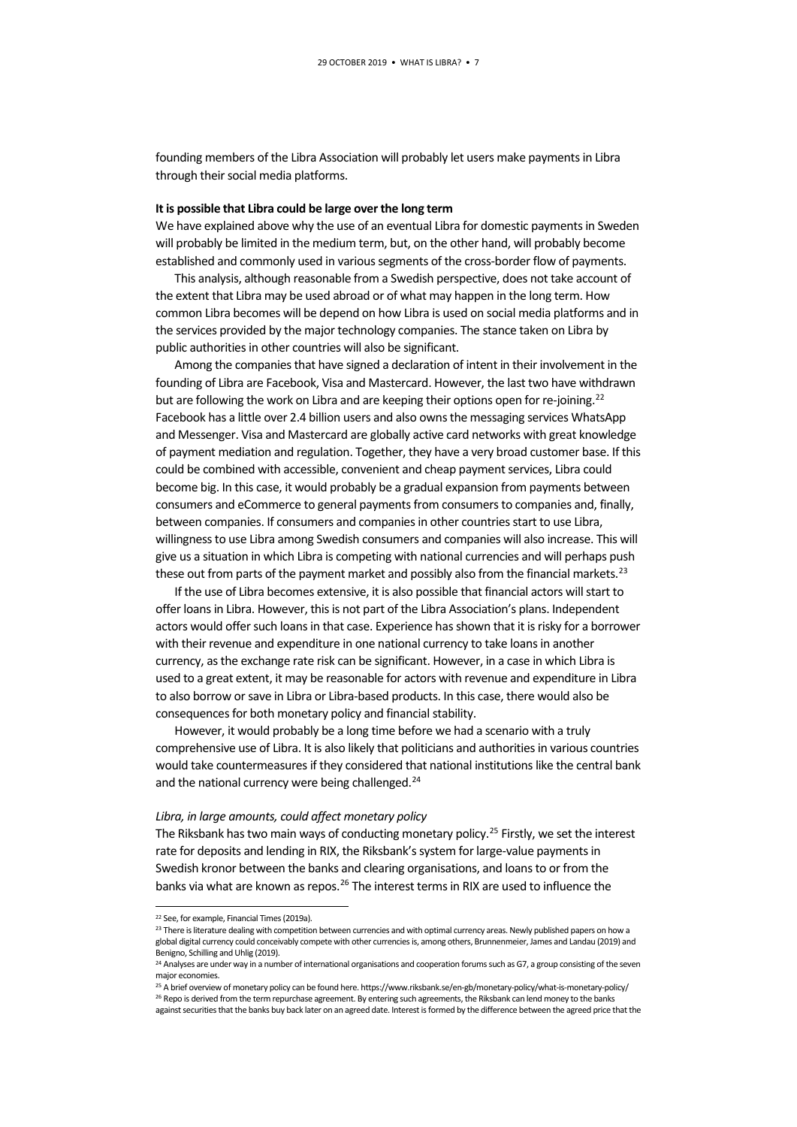founding members of the Libra Association will probably let users make payments in Libra through their social media platforms.

#### **It is possible that Libra could be large over the long term**

We have explained above why the use of an eventual Libra for domestic payments in Sweden will probably be limited in the medium term, but, on the other hand, will probably become established and commonly used in various segments of the cross-border flow of payments.

This analysis, although reasonable from a Swedish perspective, does not take account of the extent that Libra may be used abroad or of what may happen in the long term. How common Libra becomes will be depend on how Libra is used on social media platforms and in the services provided by the major technology companies. The stance taken on Libra by public authorities in other countries will also be significant.

Among the companies that have signed a declaration of intent in their involvement in the founding of Libra are Facebook, Visa and Mastercard. However, the last two have withdrawn but are following the work on Libra and are keeping their options open for re-joining.<sup>[22](#page-6-0)</sup> Facebook has a little over 2.4 billion users and also owns the messaging services WhatsApp and Messenger. Visa and Mastercard are globally active card networks with great knowledge of payment mediation and regulation. Together, they have a very broad customer base. If this could be combined with accessible, convenient and cheap payment services, Libra could become big. In this case, it would probably be a gradual expansion from payments between consumers and eCommerce to general payments from consumers to companies and, finally, between companies. If consumers and companies in other countries start to use Libra, willingness to use Libra among Swedish consumers and companies will also increase. This will give us a situation in which Libra is competing with national currencies and will perhaps push these out from parts of the payment market and possibly also from the financial markets.<sup>23</sup>

If the use of Libra becomes extensive, it is also possible that financial actors will start to offer loans in Libra. However, this is not part of the Libra Association's plans. Independent actors would offer such loans in that case. Experience has shown that it is risky for a borrower with their revenue and expenditure in one national currency to take loans in another currency, as the exchange rate risk can be significant. However, in a case in which Libra is used to a great extent, it may be reasonable for actors with revenue and expenditure in Libra to also borrow or save in Libra or Libra-based products. In this case, there would also be consequences for both monetary policy and financial stability.

However, it would probably be a long time before we had a scenario with a truly comprehensive use of Libra. It is also likely that politicians and authorities in various countries would take countermeasures if they considered that national institutions like the central bank and the national currency were being challenged.<sup>[24](#page-6-2)</sup>

#### *Libra, in large amounts, could affect monetary policy*

The Riksbank has two main ways of conducting monetary policy.<sup>[25](#page-6-3)</sup> Firstly, we set the interest rate for deposits and lending in RIX, the Riksbank's system for large-value payments in Swedish kronor between the banks and clearing organisations, and loans to or from the banks via what are known as repos.<sup>26</sup> The interest terms in RIX are used to influence the

<span id="page-6-0"></span> <sup>22</sup> See, for example, Financial Times (2019a).

<span id="page-6-1"></span><sup>&</sup>lt;sup>23</sup> There is literature dealing with competition between currencies and with optimal currency areas. Newly published papers on how a global digital currency could conceivably compete with other currencies is, among others, Brunnenmeier, James and Landau (2019) and Benigno, Schilling and Uhlig (2019).

<span id="page-6-2"></span><sup>&</sup>lt;sup>24</sup> Analyses are under way in a number of international organisations and cooperation forums such as G7, a group consisting of the seven major economies.

<span id="page-6-4"></span><span id="page-6-3"></span><sup>&</sup>lt;sup>25</sup> A brief overview of monetary policy can be found here. https://www.riksbank.se/en-gb/monetary-policy/what-is-monetary-policy/ <sup>26</sup> Repo is derived from the term repurchase agreement. By entering such agreements, the Riksbank can lend money to the banks against securities that the banks buy back later on an agreed date. Interest is formed by the difference between the agreed price that the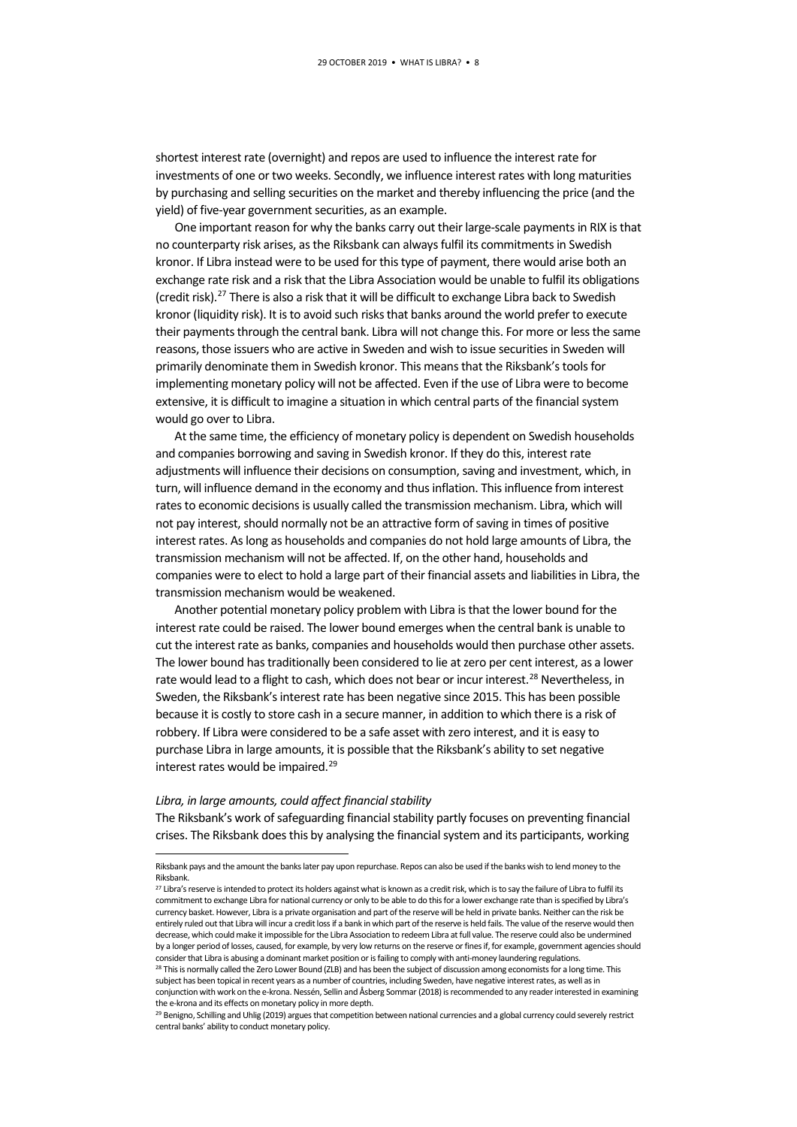shortest interest rate (overnight) and repos are used to influence the interest rate for investments of one or two weeks. Secondly, we influence interest rates with long maturities by purchasing and selling securities on the market and thereby influencing the price (and the yield) of five-year government securities, as an example.

One important reason for why the banks carry out their large-scale payments in RIX is that no counterparty risk arises, as the Riksbank can always fulfil its commitments in Swedish kronor. If Libra instead were to be used for this type of payment, there would arise both an exchange rate risk and a risk that the Libra Association would be unable to fulfil its obligations (credit risk).[27](#page-7-0) There is also a risk that it will be difficult to exchange Libra back to Swedish kronor (liquidity risk). It is to avoid such risks that banks around the world prefer to execute their payments through the central bank. Libra will not change this. For more or less the same reasons, those issuers who are active in Sweden and wish to issue securities in Sweden will primarily denominate them in Swedish kronor. This means that the Riksbank's tools for implementing monetary policy will not be affected. Even if the use of Libra were to become extensive, it is difficult to imagine a situation in which central parts of the financial system would go over to Libra.

At the same time, the efficiency of monetary policy is dependent on Swedish households and companies borrowing and saving in Swedish kronor. If they do this, interest rate adjustments will influence their decisions on consumption, saving and investment, which, in turn, will influence demand in the economy and thus inflation. This influence from interest rates to economic decisions is usually called the transmission mechanism. Libra, which will not pay interest, should normally not be an attractive form of saving in times of positive interest rates. As long as households and companies do not hold large amounts of Libra, the transmission mechanism will not be affected. If, on the other hand, households and companies were to elect to hold a large part of their financial assets and liabilities in Libra, the transmission mechanism would be weakened.

Another potential monetary policy problem with Libra is that the lower bound for the interest rate could be raised. The lower bound emerges when the central bank is unable to cut the interest rate as banks, companies and households would then purchase other assets. The lower bound has traditionally been considered to lie at zero per cent interest, as a lower rate would lead to a flight to cash, which does not bear or incur interest.<sup>[28](#page-7-1)</sup> Nevertheless, in Sweden, the Riksbank's interest rate has been negative since 2015. This has been possible because it is costly to store cash in a secure manner, in addition to which there is a risk of robbery. If Libra were considered to be a safe asset with zero interest, and it is easy to purchase Libra in large amounts, it is possible that the Riksbank's ability to set negative interest rates would be impaired.<sup>[29](#page-7-2)</sup>

#### *Libra, in large amounts, could affect financial stability*

The Riksbank's work of safeguarding financial stability partly focuses on preventing financial crises. The Riksbank does this by analysing the financial system and its participants, working

Riksbank pays and the amount the banks later pay upon repurchase. Repos can also be used if the banks wish to lend money to the Riksbank.

<span id="page-7-0"></span><sup>&</sup>lt;sup>27</sup> Libra's reserve is intended to protect its holders against what is known as a credit risk, which is to say the failure of Libra to fulfil its commitment to exchange Libra for national currency or only to be able to do this for a lower exchange rate than is specified by Libra's currency basket. However, Libra is a private organisation and part of the reserve will be held in private banks. Neither can the risk be entirely ruled out that Libra will incur a credit loss if a bank in which part of the reserve is held fails. The value of the reserve would then decrease, which could make it impossible for the Libra Association to redeem Libra at full value. The reserve could also be undermined by a longer period of losses, caused, for example, by very low returns on the reserve or fines if, for example, government agencies should consider that Libra is abusing a dominant market position or is failing to comply w

<span id="page-7-1"></span>This is normally called the Zero Lower Bound (ZLB) and has been the subject of discussion among economists for a long time. This subject has been topical in recent years as a number of countries, including Sweden, have negative interest rates, as well as in conjunction with work on the e-krona. Nessén, Sellin and Åsberg Sommar (2018) is recommended to any reader interested in examining the e-krona and its effects on monetary policy in more depth.

<span id="page-7-2"></span><sup>&</sup>lt;sup>29</sup> Benigno, Schilling and Uhlig (2019) argues that competition between national currencies and a global currency could severely restrict central banks' ability to conduct monetary policy.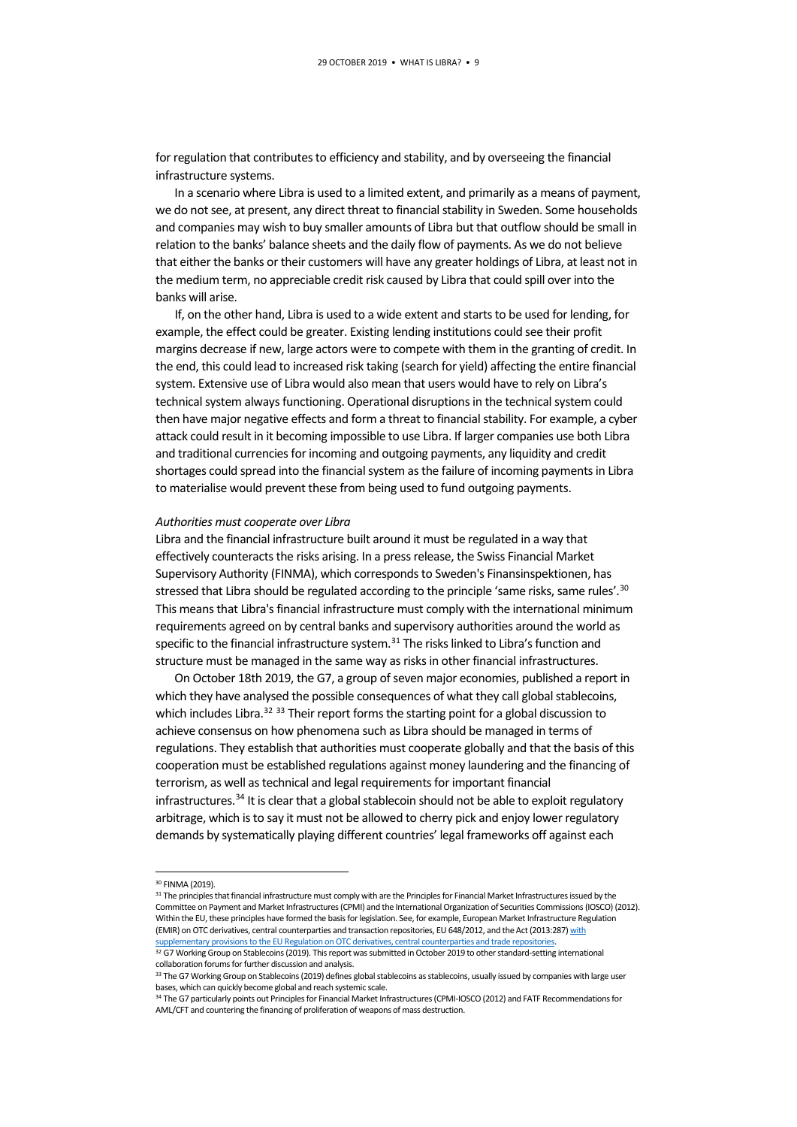for regulation that contributes to efficiency and stability, and by overseeing the financial infrastructure systems.

In a scenario where Libra is used to a limited extent, and primarily as a means of payment, we do notsee, at present, any direct threat to financial stability in Sweden. Some households and companies may wish to buy smaller amounts of Libra but that outflow should be small in relation to the banks' balance sheets and the daily flow of payments. As we do not believe that either the banks or their customers will have any greater holdings of Libra, at least not in the medium term, no appreciable credit risk caused by Libra that could spill over into the banks will arise.

If, on the other hand, Libra is used to a wide extent and starts to be used for lending, for example, the effect could be greater. Existing lending institutions could see their profit margins decrease if new, large actors were to compete with them in the granting of credit. In the end, this could lead to increased risk taking (search for yield) affecting the entire financial system. Extensive use of Libra would also mean that users would have to rely on Libra's technical system always functioning. Operational disruptions in the technical system could then have major negative effects and form a threat to financial stability. For example, a cyber attack could result in it becoming impossible to use Libra. If larger companies use both Libra and traditional currencies for incoming and outgoing payments, any liquidity and credit shortages could spread into the financial system as the failure of incoming payments in Libra to materialise would prevent these from being used to fund outgoing payments.

#### *Authorities must cooperate over Libra*

Libra and the financial infrastructure built around it must be regulated in a way that effectively counteracts the risks arising. In a press release, the Swiss Financial Market Supervisory Authority (FINMA), which corresponds to Sweden's Finansinspektionen, has stressed that Libra should be regulated according to the principle 'same risks, same rules'.<sup>30</sup> This means that Libra's financial infrastructure must comply with the international minimum requirements agreed on by central banks and supervisory authorities around the world as specific to the financial infrastructure system.<sup>[31](#page-8-1)</sup> The risks linked to Libra's function and structure must be managed in the same way as risks in other financial infrastructures.

On October 18th 2019, the G7, a group of seven major economies, published a report in which they have analysed the possible consequences of what they call global stablecoins, which includes Libra.<sup>32</sup> <sup>[33](#page-8-3)</sup> Their report forms the starting point for a global discussion to achieve consensus on how phenomena such as Libra should be managed in terms of regulations. They establish that authorities must cooperate globally and that the basis of this cooperation must be established regulations against money laundering and the financing of terrorism, as well as technical and legal requirements for important financial infrastructures.[34](#page-8-4) It is clear that a global stablecoin should not be able to exploit regulatory arbitrage, which is to say it must not be allowed to cherry pick and enjoy lower regulatory demands by systematically playing different countries' legal frameworks off against each

<span id="page-8-1"></span><span id="page-8-0"></span>31 The principles that financial infrastructure must comply with are the Principles for Financial Market Infrastructures issued by the Committee on Payment and Market Infrastructures (CPMI) and the International Organization of Securities Commissions (IOSCO) (2012). Within the EU, these principles have formed the basis for legislation. See, for example, European Market Infrastructure Regulation (EMIR) on OTC derivatives, central counterparties and transaction repositories, EU 648/2012, and the Act (2013:287) with supplementary provisions to the EU Regulation on OTC derivatives, central counterparties and trade repositories

 <sup>30</sup> FINMA (2019).

<span id="page-8-2"></span><sup>32</sup> G7 Working Group on Stablecoins (2019). This report was submitted in October 2019 to other standard-setting international collaboration forums for further discussion and analysis.

<span id="page-8-3"></span><sup>33</sup> The G7 Working Group on Stablecoins (2019) defines global stablecoins as stablecoins, usually issued by companies with large user bases, which can quickly become global and reach systemic scale.

<span id="page-8-4"></span><sup>34</sup> The G7 particularly points out Principles for Financial Market Infrastructures (CPMI-IOSCO (2012) and FATF Recommendations for AML/CFT and countering the financing of proliferation of weapons of mass destruction.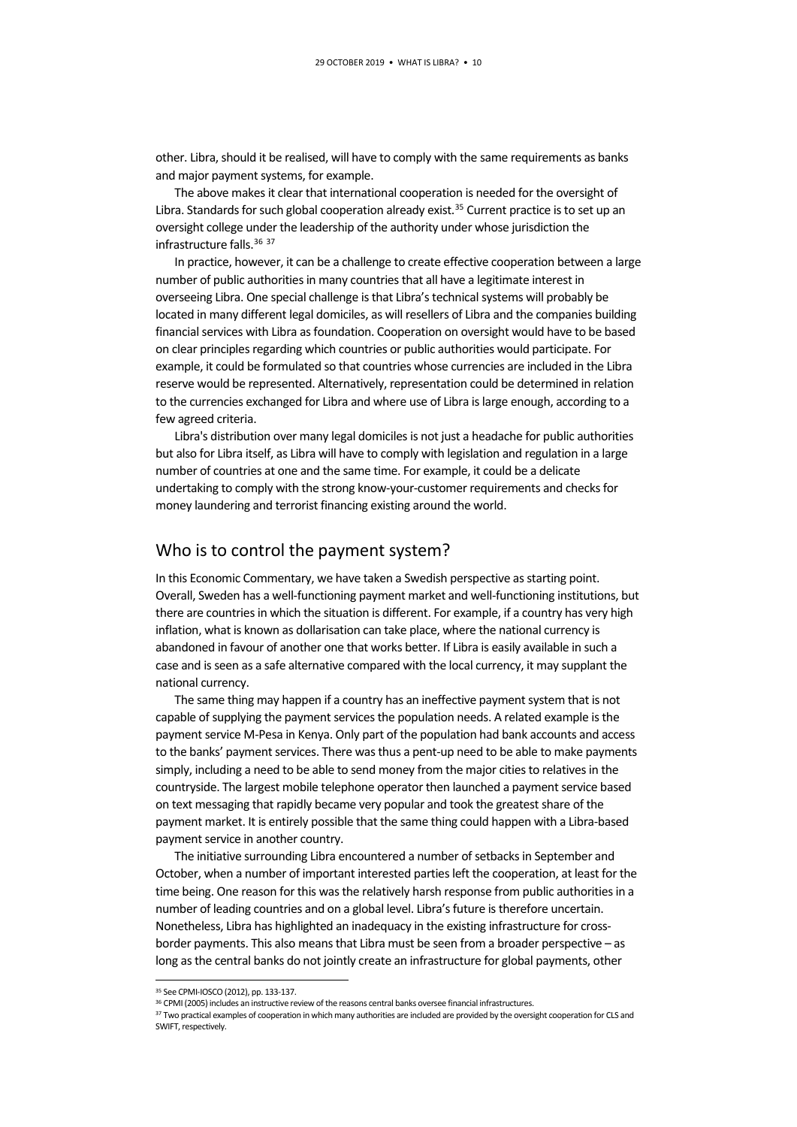other. Libra, should it be realised, will have to comply with the same requirements as banks and major payment systems, for example.

The above makes it clear that international cooperation is needed for the oversight of Libra. Standards for such global cooperation already exist.<sup>[35](#page-9-0)</sup> Current practice is to set up an oversight college under the leadership of the authority under whose jurisdiction the infrastructure falls.[36](#page-9-1) [37](#page-9-2)

In practice, however, it can be a challenge to create effective cooperation between a large number of public authorities in many countries that all have a legitimate interest in overseeing Libra. One special challenge is that Libra's technical systems will probably be located in many different legal domiciles, as will resellers of Libra and the companies building financial services with Libra as foundation. Cooperation on oversight would have to be based on clear principles regarding which countries or public authorities would participate. For example, it could be formulated so that countries whose currencies are included in the Libra reserve would be represented. Alternatively, representation could be determined in relation to the currencies exchanged for Libra and where use of Libra is large enough, according to a few agreed criteria.

Libra's distribution over many legal domiciles is not just a headache for public authorities but also for Libra itself, as Libra will have to comply with legislation and regulation in a large number of countries at one and the same time. For example, it could be a delicate undertaking to comply with the strong know-your-customer requirements and checks for money laundering and terrorist financing existing around the world.

### Who is to control the payment system?

In this Economic Commentary, we have taken a Swedish perspective as starting point. Overall, Sweden has a well-functioning payment market and well-functioning institutions, but there are countries in which the situation is different. For example, if a country has very high inflation, what is known as dollarisation can take place, where the national currency is abandoned in favour of another one that works better. If Libra is easily available in such a case and is seen as a safe alternative compared with the local currency, it may supplant the national currency.

The same thing may happen if a country has an ineffective payment system that is not capable of supplying the payment services the population needs. A related example is the payment service M-Pesa in Kenya. Only part of the population had bank accounts and access to the banks' payment services. There was thus a pent-up need to be able to make payments simply, including a need to be able to send money from the major cities to relatives in the countryside. The largest mobile telephone operator then launched a payment service based on text messaging that rapidly became very popular and took the greatest share of the payment market. It is entirely possible that the same thing could happen with a Libra-based payment service in another country.

The initiative surrounding Libra encountered a number of setbacks in September and October, when a number of important interested parties left the cooperation, at least for the time being. One reason for this was the relatively harsh response from public authorities in a number of leading countries and on a global level. Libra's future is therefore uncertain. Nonetheless, Libra has highlighted an inadequacy in the existing infrastructure for crossborder payments. This also means that Libra must be seen from a broader perspective – as long as the central banks do not jointly create an infrastructure for global payments, other

 <sup>35</sup> See CPMI-IOSCO (2012), pp. 133-137.

<span id="page-9-1"></span><span id="page-9-0"></span><sup>36</sup> CPMI (2005) includes an instructive review of the reasons central banks oversee financial infrastructures.

<span id="page-9-2"></span><sup>37</sup> Two practical examples of cooperation in which many authorities are included are provided by the oversight cooperation for CLS and SWIFT, respectively.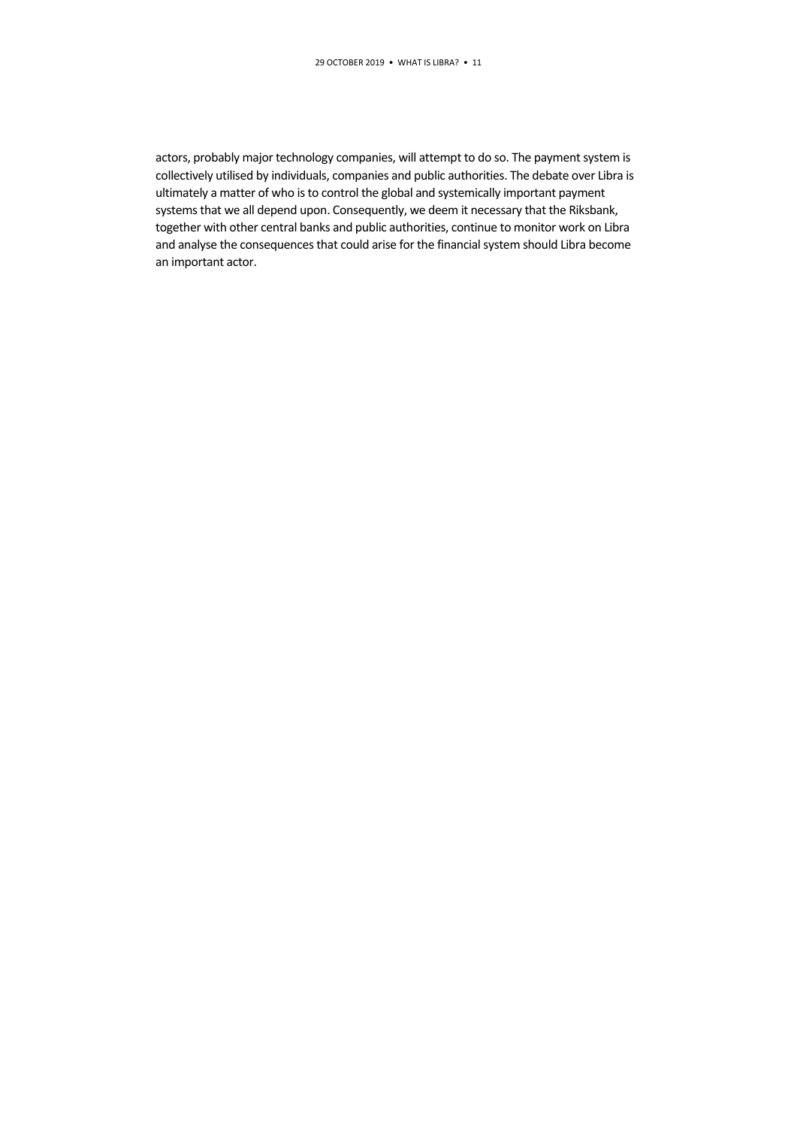actors, probably major technology companies, will attempt to do so. The payment system is collectively utilised by individuals, companies and public authorities. The debate over Libra is ultimately a matter of who is to control the global and systemically important payment systems that we all depend upon. Consequently, we deem it necessary that the Riksbank, together with other central banks and public authorities, continue to monitor work on Libra and analyse the consequences that could arise for the financial system should Libra become an important actor.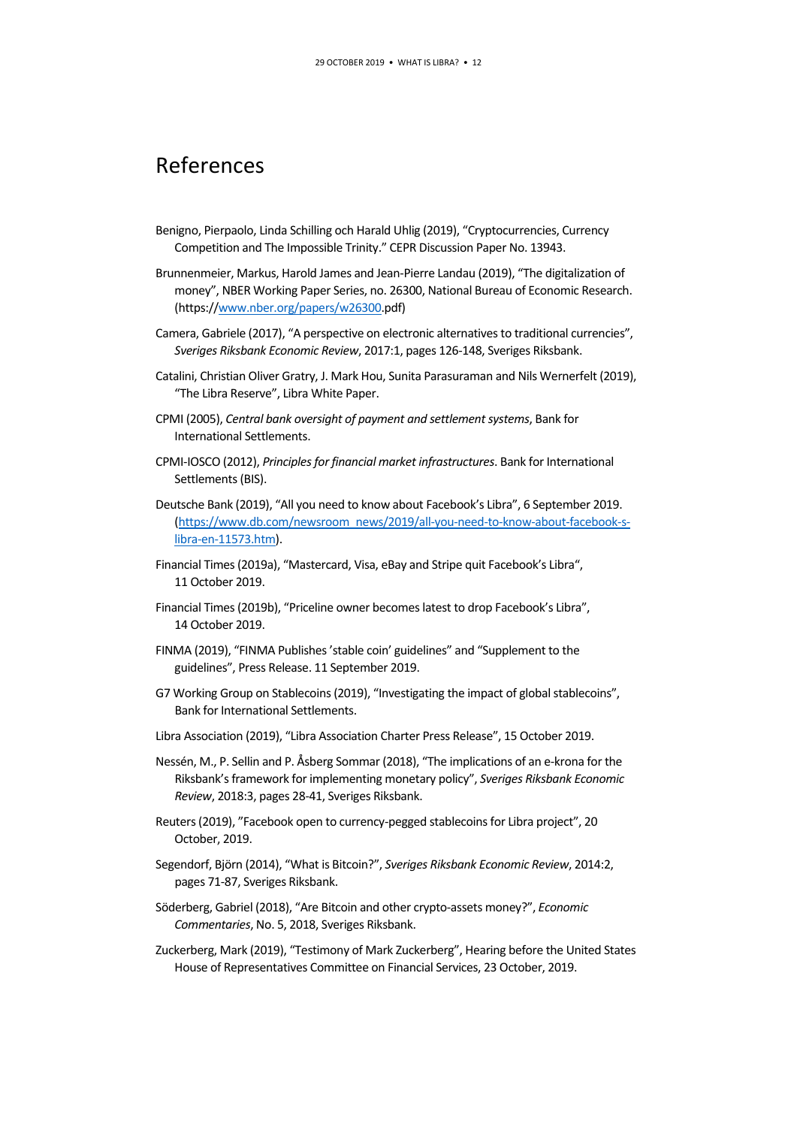# References

- Benigno, Pierpaolo, Linda Schilling och Harald Uhlig (2019), "Cryptocurrencies, Currency Competition and The Impossible Trinity." CEPR Discussion Paper No. 13943.
- Brunnenmeier, Markus, Harold James and Jean-Pierre Landau (2019), "The digitalization of money", NBER Working Paper Series, no. 26300, National Bureau of Economic Research. (https:/[/www.nber.org/papers/w26300.](http://www.nber.org/papers/w26300)pdf)
- Camera, Gabriele (2017), "A perspective on electronic alternatives to traditional currencies", *Sveriges Riksbank Economic Review*, 2017:1, pages 126-148, Sveriges Riksbank.
- Catalini, Christian Oliver Gratry, J. Mark Hou, Sunita Parasuraman and Nils Wernerfelt (2019), "The Libra Reserve", Libra White Paper.
- CPMI (2005), *Central bank oversight of payment and settlement systems*, Bank for International Settlements.
- CPMI-IOSCO (2012), *Principles for financial market infrastructures*. Bank for International Settlements (BIS).
- Deutsche Bank (2019), "All you need to know about Facebook's Libra", 6 September 2019. [\(https://www.db.com/newsroom\\_news/2019/all-you-need-to-know-about-facebook-s](https://www.db.com/newsroom_news/2019/all-you-need-to-know-about-facebook-s-libra-en-11573.htm)[libra-en-11573.htm\)](https://www.db.com/newsroom_news/2019/all-you-need-to-know-about-facebook-s-libra-en-11573.htm).
- Financial Times (2019a), "Mastercard, Visa, eBay and Stripe quit Facebook's Libra", 11 October 2019.
- Financial Times (2019b), "Priceline owner becomes latest to drop Facebook's Libra", 14 October 2019.
- FINMA (2019), "FINMA Publishes 'stable coin' guidelines" and "Supplement to the guidelines", Press Release. 11 September 2019.
- G7 Working Group on Stablecoins (2019), "Investigating the impact of global stablecoins", Bank for International Settlements.
- Libra Association (2019), "Libra Association Charter Press Release", 15 October 2019.
- Nessén, M., P. Sellin and P. Åsberg Sommar (2018), "The implications of an e-krona for the Riksbank's framework for implementing monetary policy", *Sveriges Riksbank Economic Review*, 2018:3, pages 28-41, Sveriges Riksbank.
- Reuters (2019), "Facebook open to currency-pegged stablecoins for Libra project", 20 October, 2019.
- Segendorf, Björn (2014), "What is Bitcoin?", *Sveriges Riksbank Economic Review*, 2014:2, pages 71-87, Sveriges Riksbank.
- Söderberg, Gabriel (2018), "Are Bitcoin and other crypto-assets money?", *Economic Commentaries*, No. 5, 2018, Sveriges Riksbank.
- Zuckerberg, Mark (2019), "Testimony of Mark Zuckerberg", Hearing before the United States House of Representatives Committee on Financial Services, 23 October, 2019.